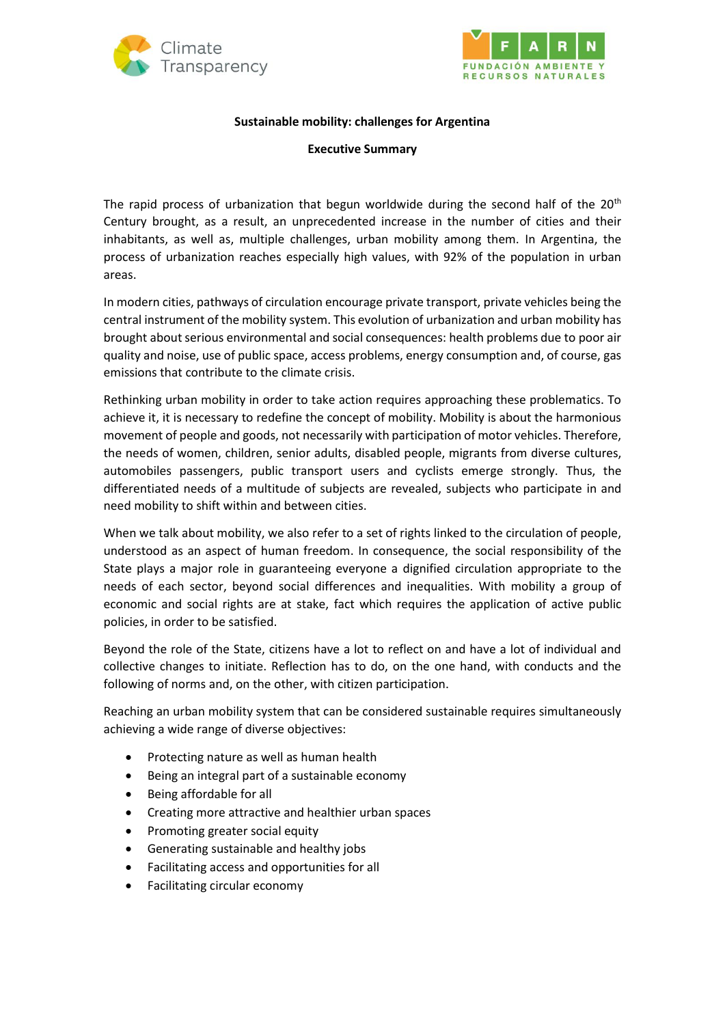



## **Sustainable mobility: challenges for Argentina**

## **Executive Summary**

The rapid process of urbanization that begun worldwide during the second half of the  $20<sup>th</sup>$ Century brought, as a result, an unprecedented increase in the number of cities and their inhabitants, as well as, multiple challenges, urban mobility among them. In Argentina, the process of urbanization reaches especially high values, with 92% of the population in urban areas.

In modern cities, pathways of circulation encourage private transport, private vehicles being the central instrument of the mobility system. This evolution of urbanization and urban mobility has brought about serious environmental and social consequences: health problems due to poor air quality and noise, use of public space, access problems, energy consumption and, of course, gas emissions that contribute to the climate crisis.

Rethinking urban mobility in order to take action requires approaching these problematics. To achieve it, it is necessary to redefine the concept of mobility. Mobility is about the harmonious movement of people and goods, not necessarily with participation of motor vehicles. Therefore, the needs of women, children, senior adults, disabled people, migrants from diverse cultures, automobiles passengers, public transport users and cyclists emerge strongly. Thus, the differentiated needs of a multitude of subjects are revealed, subjects who participate in and need mobility to shift within and between cities.

When we talk about mobility, we also refer to a set of rights linked to the circulation of people, understood as an aspect of human freedom. In consequence, the social responsibility of the State plays a major role in guaranteeing everyone a dignified circulation appropriate to the needs of each sector, beyond social differences and inequalities. With mobility a group of economic and social rights are at stake, fact which requires the application of active public policies, in order to be satisfied.

Beyond the role of the State, citizens have a lot to reflect on and have a lot of individual and collective changes to initiate. Reflection has to do, on the one hand, with conducts and the following of norms and, on the other, with citizen participation.

Reaching an urban mobility system that can be considered sustainable requires simultaneously achieving a wide range of diverse objectives:

- Protecting nature as well as human health
- Being an integral part of a sustainable economy
- Being affordable for all
- Creating more attractive and healthier urban spaces
- Promoting greater social equity
- Generating sustainable and healthy jobs
- Facilitating access and opportunities for all
- Facilitating circular economy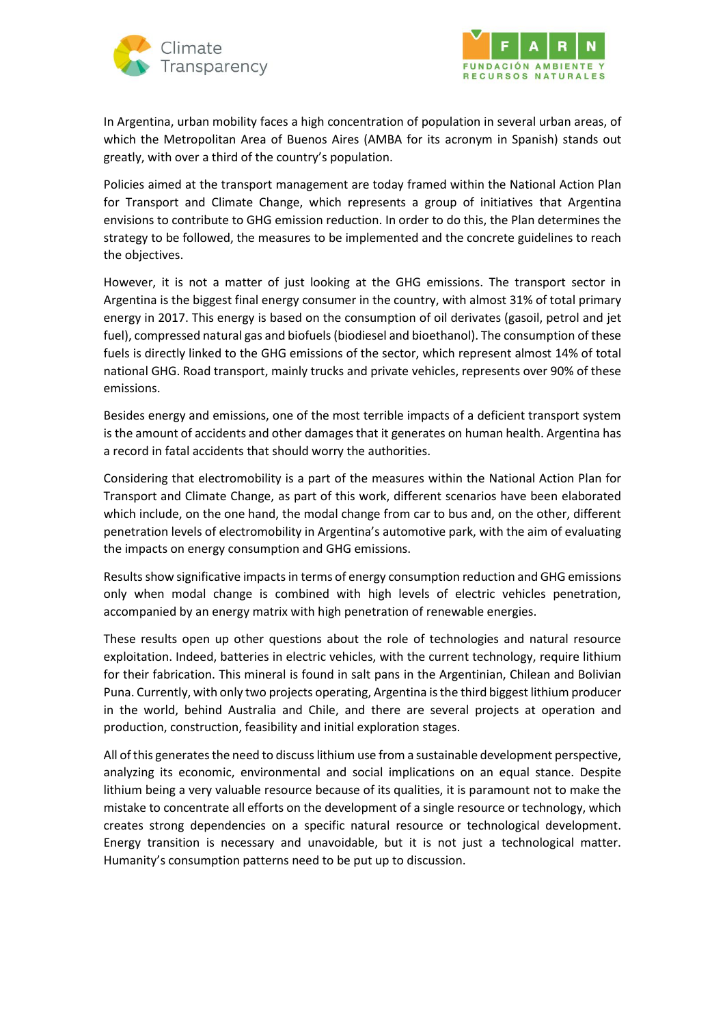



In Argentina, urban mobility faces a high concentration of population in several urban areas, of which the Metropolitan Area of Buenos Aires (AMBA for its acronym in Spanish) stands out greatly, with over a third of the country's population.

Policies aimed at the transport management are today framed within the National Action Plan for Transport and Climate Change, which represents a group of initiatives that Argentina envisions to contribute to GHG emission reduction. In order to do this, the Plan determines the strategy to be followed, the measures to be implemented and the concrete guidelines to reach the objectives.

However, it is not a matter of just looking at the GHG emissions. The transport sector in Argentina is the biggest final energy consumer in the country, with almost 31% of total primary energy in 2017. This energy is based on the consumption of oil derivates (gasoil, petrol and jet fuel), compressed natural gas and biofuels (biodiesel and bioethanol). The consumption of these fuels is directly linked to the GHG emissions of the sector, which represent almost 14% of total national GHG. Road transport, mainly trucks and private vehicles, represents over 90% of these emissions.

Besides energy and emissions, one of the most terrible impacts of a deficient transport system is the amount of accidents and other damages that it generates on human health. Argentina has a record in fatal accidents that should worry the authorities.

Considering that electromobility is a part of the measures within the National Action Plan for Transport and Climate Change, as part of this work, different scenarios have been elaborated which include, on the one hand, the modal change from car to bus and, on the other, different penetration levels of electromobility in Argentina's automotive park, with the aim of evaluating the impacts on energy consumption and GHG emissions.

Results show significative impacts in terms of energy consumption reduction and GHG emissions only when modal change is combined with high levels of electric vehicles penetration, accompanied by an energy matrix with high penetration of renewable energies.

These results open up other questions about the role of technologies and natural resource exploitation. Indeed, batteries in electric vehicles, with the current technology, require lithium for their fabrication. This mineral is found in salt pans in the Argentinian, Chilean and Bolivian Puna. Currently, with only two projects operating, Argentina is the third biggest lithium producer in the world, behind Australia and Chile, and there are several projects at operation and production, construction, feasibility and initial exploration stages.

All of this generates the need to discuss lithium use from a sustainable development perspective, analyzing its economic, environmental and social implications on an equal stance. Despite lithium being a very valuable resource because of its qualities, it is paramount not to make the mistake to concentrate all efforts on the development of a single resource or technology, which creates strong dependencies on a specific natural resource or technological development. Energy transition is necessary and unavoidable, but it is not just a technological matter. Humanity's consumption patterns need to be put up to discussion.